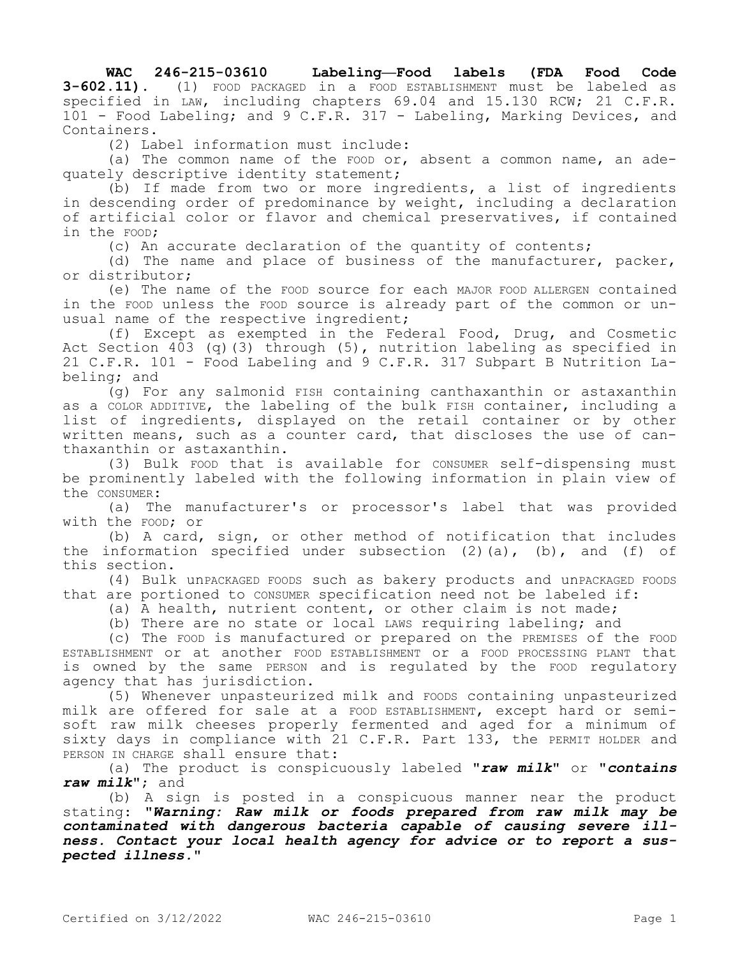**WAC 246-215-03610 Labeling—Food labels (FDA Food Code 3-602.11).** (1) FOOD PACKAGED in a FOOD ESTABLISHMENT must be labeled as specified in LAW, including chapters 69.04 and 15.130 RCW; 21 C.F.R. 101 - Food Labeling; and 9 C.F.R. 317 - Labeling, Marking Devices, and Containers.

(2) Label information must include:

(a) The common name of the FOOD or, absent a common name, an adequately descriptive identity statement;

(b) If made from two or more ingredients, a list of ingredients in descending order of predominance by weight, including a declaration of artificial color or flavor and chemical preservatives, if contained in the FOOD;

(c) An accurate declaration of the quantity of contents;

(d) The name and place of business of the manufacturer, packer, or distributor;

(e) The name of the FOOD source for each MAJOR FOOD ALLERGEN contained in the FOOD unless the FOOD source is already part of the common or unusual name of the respective ingredient;

(f) Except as exempted in the Federal Food, Drug, and Cosmetic Act Section 403 (q)(3) through (5), nutrition labeling as specified in 21 C.F.R. 101 - Food Labeling and 9 C.F.R. 317 Subpart B Nutrition Labeling; and

(g) For any salmonid FISH containing canthaxanthin or astaxanthin as a COLOR ADDITIVE, the labeling of the bulk FISH container, including a list of ingredients, displayed on the retail container or by other written means, such as a counter card, that discloses the use of canthaxanthin or astaxanthin.

(3) Bulk FOOD that is available for CONSUMER self-dispensing must be prominently labeled with the following information in plain view of the CONSUMER:

(a) The manufacturer's or processor's label that was provided with the FOOD; or

(b) A card, sign, or other method of notification that includes the information specified under subsection  $(2)$   $(a)$ ,  $(b)$ , and  $(f)$  of this section.

(4) Bulk unPACKAGED FOODS such as bakery products and unPACKAGED FOODS that are portioned to CONSUMER specification need not be labeled if:

(a) A health, nutrient content, or other claim is not made;

(b) There are no state or local LAWS requiring labeling; and

(c) The FOOD is manufactured or prepared on the PREMISES of the FOOD ESTABLISHMENT or at another FOOD ESTABLISHMENT or a FOOD PROCESSING PLANT that is owned by the same PERSON and is regulated by the FOOD regulatory agency that has jurisdiction.

(5) Whenever unpasteurized milk and FOODS containing unpasteurized milk are offered for sale at a FOOD ESTABLISHMENT, except hard or semisoft raw milk cheeses properly fermented and aged for a minimum of sixty days in compliance with 21 C.F.R. Part 133, the PERMIT HOLDER and PERSON IN CHARGE shall ensure that:

(a) The product is conspicuously labeled **"***raw milk***"** or **"***contains raw milk***"**; and

(b) A sign is posted in a conspicuous manner near the product stating: **"***Warning: Raw milk or foods prepared from raw milk may be contaminated with dangerous bacteria capable of causing severe illness. Contact your local health agency for advice or to report a suspected illness.***"**